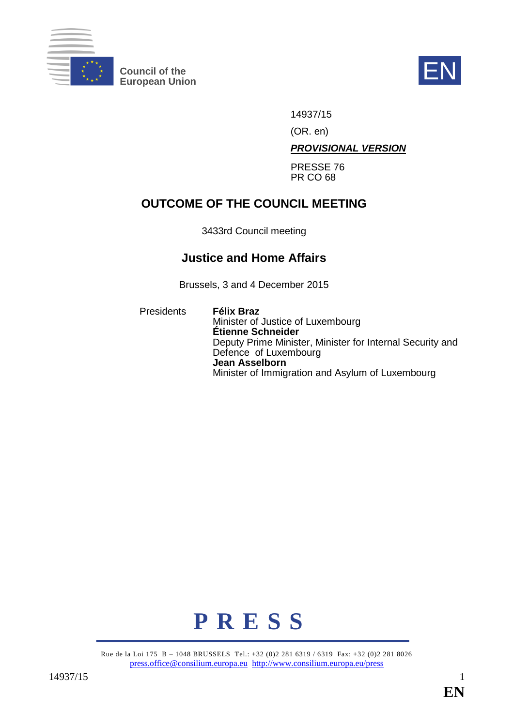

**Council of the EN**<br>European Union



14937/15

(OR. en)

*PROVISIONAL VERSION*

PRESSE 76 PR CO 68

# **OUTCOME OF THE COUNCIL MEETING**

3433rd Council meeting

# **Justice and Home Affairs**

Brussels, 3 and 4 December 2015

Presidents **Félix Braz** Minister of Justice of Luxembourg **Étienne Schneider** Deputy Prime Minister, Minister for Internal Security and Defence of Luxembourg **Jean Asselborn** Minister of Immigration and Asylum of Luxembourg



Rue de la Loi 175 B – 1048 BRUSSELS Tel.: +32 (0)2 281 6319 / 6319 Fax: +32 (0)2 281 8026 [press.office@consilium.europa.eu](mailto:press.office@consilium.europa.eu) <http://www.consilium.europa.eu/press>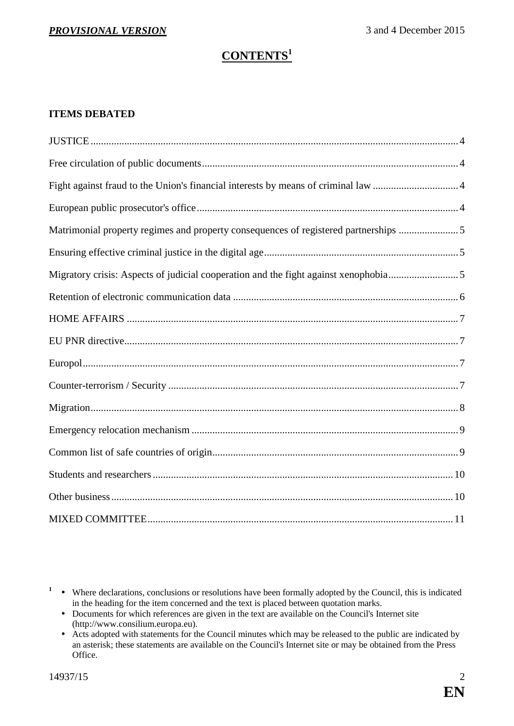# **CONTENTS<sup>1</sup>**

### **ITEMS DEBATED**

| Matrimonial property regimes and property consequences of registered partnerships 5 |
|-------------------------------------------------------------------------------------|
|                                                                                     |
| Migratory crisis: Aspects of judicial cooperation and the fight against xenophobia5 |
|                                                                                     |
|                                                                                     |
|                                                                                     |
|                                                                                     |
|                                                                                     |
|                                                                                     |
|                                                                                     |
|                                                                                     |
|                                                                                     |
|                                                                                     |
|                                                                                     |

<sup>&</sup>lt;sup>1</sup> • Where declarations, conclusions or resolutions have been formally adopted by the Council, this is indicated in the heading for the item concerned and the text is placed between quotation marks.

Documents for which references are given in the text are available on the Council's Internet site (http://www.consilium.europa.eu).

Acts adopted with statements for the Council minutes which may be released to the public are indicated by an asterisk; these statements are available on the Council's Internet site or may be obtained from the Press Office.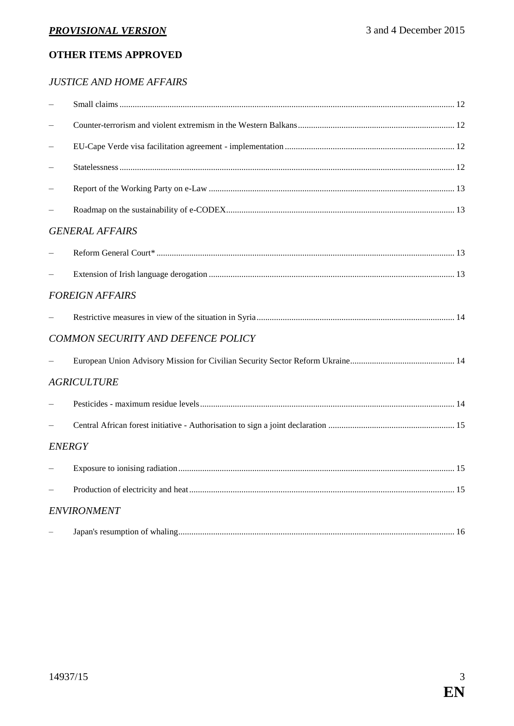## **OTHER ITEMS APPROVED**

### *JUSTICE AND HOME AFFAIRS*

| <b>GENERAL AFFAIRS</b>             |  |  |  |
|------------------------------------|--|--|--|
|                                    |  |  |  |
|                                    |  |  |  |
| <b>FOREIGN AFFAIRS</b>             |  |  |  |
|                                    |  |  |  |
| COMMON SECURITY AND DEFENCE POLICY |  |  |  |
|                                    |  |  |  |
| <b>AGRICULTURE</b>                 |  |  |  |
|                                    |  |  |  |
|                                    |  |  |  |
| <b>ENERGY</b>                      |  |  |  |
|                                    |  |  |  |
|                                    |  |  |  |
| <b>ENVIRONMENT</b>                 |  |  |  |
|                                    |  |  |  |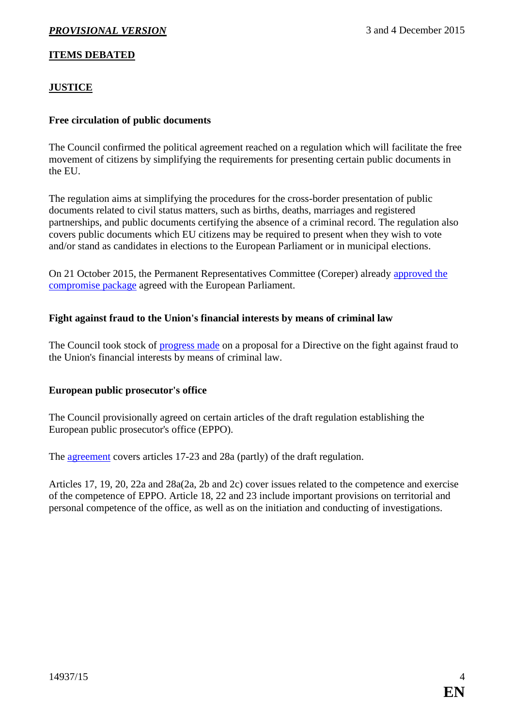### **ITEMS DEBATED**

### <span id="page-3-0"></span>**JUSTICE**

### <span id="page-3-1"></span>**Free circulation of public documents**

The Council confirmed the political agreement reached on a regulation which will facilitate the free movement of citizens by simplifying the requirements for presenting certain public documents in the EU.

The regulation aims at simplifying the procedures for the cross-border presentation of public documents related to civil status matters, such as births, deaths, marriages and registered partnerships, and public documents certifying the absence of a criminal record. The regulation also covers public documents which EU citizens may be required to present when they wish to vote and/or stand as candidates in elections to the European Parliament or in municipal elections.

On 21 October 2015, the Permanent Representatives Committee (Coreper) already [approved the](http://www.consilium.europa.eu/en/press/press-releases/2015/10/21-free-circulation-public-documents/)  [compromise package](http://www.consilium.europa.eu/en/press/press-releases/2015/10/21-free-circulation-public-documents/) agreed with the European Parliament.

### <span id="page-3-2"></span>**Fight against fraud to the Union's financial interests by means of criminal law**

The Council took stock of [progress made](http://data.consilium.europa.eu/doc/document/ST-14281-2015-INIT/en/pdf) on a proposal for a Directive on the fight against fraud to the Union's financial interests by means of criminal law.

#### <span id="page-3-3"></span>**European public prosecutor's office**

The Council provisionally agreed on certain articles of the draft regulation establishing the European public prosecutor's office (EPPO).

The [agreement](http://data.consilium.europa.eu/doc/document/ST-14718-2015-INIT/en/pdf) covers articles 17-23 and 28a (partly) of the draft regulation.

Articles 17, 19, 20, 22a and 28a(2a, 2b and 2c) cover issues related to the competence and exercise of the competence of EPPO. Article 18, 22 and 23 include important provisions on territorial and personal competence of the office, as well as on the initiation and conducting of investigations.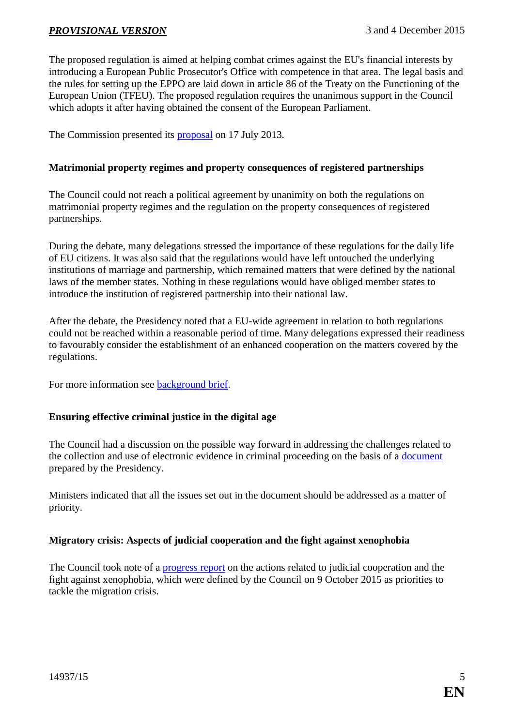The proposed regulation is aimed at helping combat crimes against the EU's financial interests by introducing a European Public Prosecutor's Office with competence in that area. The legal basis and the rules for setting up the EPPO are laid down in article 86 of the Treaty on the Functioning of the European Union (TFEU). The proposed regulation requires the unanimous support in the Council which adopts it after having obtained the consent of the European Parliament.

The Commission presented its **proposal** on 17 July 2013.

### <span id="page-4-0"></span>**Matrimonial property regimes and property consequences of registered partnerships**

The Council could not reach a political agreement by unanimity on both the regulations on matrimonial property regimes and the regulation on the property consequences of registered partnerships.

During the debate, many delegations stressed the importance of these regulations for the daily life of EU citizens. It was also said that the regulations would have left untouched the underlying institutions of marriage and partnership, which remained matters that were defined by the national laws of the member states. Nothing in these regulations would have obliged member states to introduce the institution of registered partnership into their national law.

After the debate, the Presidency noted that a EU-wide agreement in relation to both regulations could not be reached within a reasonable period of time. Many delegations expressed their readiness to favourably consider the establishment of an enhanced cooperation on the matters covered by the regulations.

For more information see [background brief.](http://www.consilium.europa.eu/en/meetings/jha/2015/12/Background_EN_pdf/)

### <span id="page-4-1"></span>**Ensuring effective criminal justice in the digital age**

The Council had a discussion on the possible way forward in addressing the challenges related to the collection and use of electronic evidence in criminal proceeding on the basis of a [document](http://data.consilium.europa.eu/doc/document/ST-14369-2015-INIT/en/pdf) prepared by the Presidency.

Ministers indicated that all the issues set out in the document should be addressed as a matter of priority.

### <span id="page-4-2"></span>**Migratory crisis: Aspects of judicial cooperation and the fight against xenophobia**

The Council took note of a [progress report](http://data.consilium.europa.eu/doc/document/ST-14716-2015-INIT/en/pdf) on the actions related to judicial cooperation and the fight against xenophobia, which were defined by the Council on 9 October 2015 as priorities to tackle the migration crisis.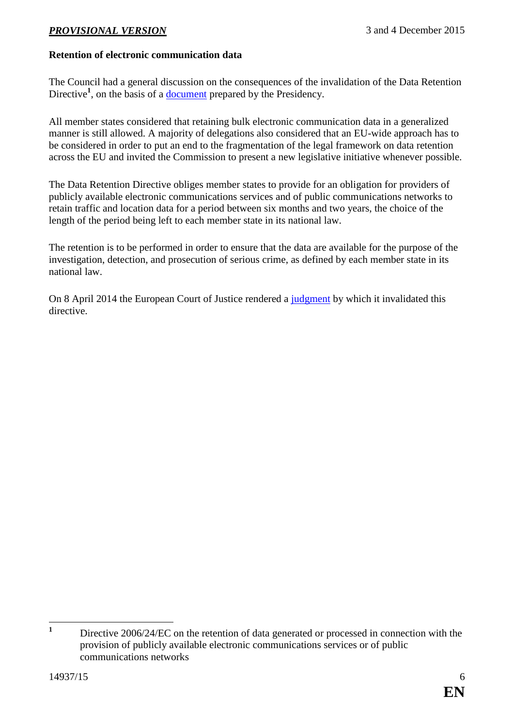### <span id="page-5-0"></span>**Retention of electronic communication data**

The Council had a general discussion on the consequences of the invalidation of the Data Retention Directive<sup>1</sup>, on the basis of a <u>document</u> prepared by the Presidency.

All member states considered that retaining bulk electronic communication data in a generalized manner is still allowed. A majority of delegations also considered that an EU-wide approach has to be considered in order to put an end to the fragmentation of the legal framework on data retention across the EU and invited the Commission to present a new legislative initiative whenever possible.

The Data Retention Directive obliges member states to provide for an obligation for providers of publicly available electronic communications services and of public communications networks to retain traffic and location data for a period between six months and two years, the choice of the length of the period being left to each member state in its national law.

The retention is to be performed in order to ensure that the data are available for the purpose of the investigation, detection, and prosecution of serious crime, as defined by each member state in its national law.

On 8 April 2014 the European Court of Justice rendered a [judgment](http://curia.europa.eu/juris/liste.jsf?pro=&lgrec=fr&nat=or&oqp=&dates=&lg=&language=en&jur=C%2CT%2CF&cit=none%252CC%252CCJ%252CR%252C2008E%252C%252C%252C%252C%252C%252C%252C%252C%252C%252Ctrue%252Cfalse%252Cfalse&num=C-293%252F12&td=%3BALL&pcs=Oor&avg=&page=1&mat=or&jge=&for=&cid=256702) by which it invalidated this directive.

 $\mathbf{1}$ **<sup>1</sup>** Directive 2006/24/EC on the retention of data generated or processed in connection with the provision of publicly available electronic communications services or of public communications networks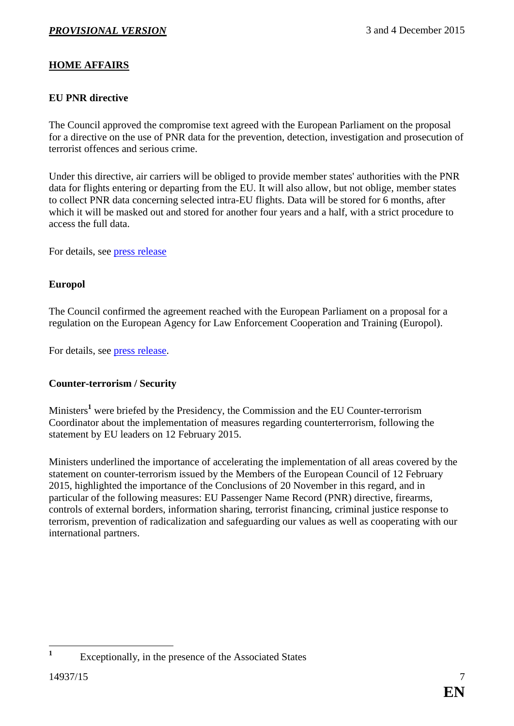### <span id="page-6-0"></span>**HOME AFFAIRS**

### <span id="page-6-1"></span>**EU PNR directive**

The Council approved the compromise text agreed with the European Parliament on the proposal for a directive on the use of PNR data for the prevention, detection, investigation and prosecution of terrorist offences and serious crime.

Under this directive, air carriers will be obliged to provide member states' authorities with the PNR data for flights entering or departing from the EU. It will also allow, but not oblige, member states to collect PNR data concerning selected intra-EU flights. Data will be stored for 6 months, after which it will be masked out and stored for another four years and a half, with a strict procedure to access the full data.

For details, see [press release](http://www.consilium.europa.eu/en/press/press-releases/2015/12/04-eu-passenger-name-record-directive/)

### <span id="page-6-2"></span>**Europol**

The Council confirmed the agreement reached with the European Parliament on a proposal for a regulation on the European Agency for Law Enforcement Cooperation and Training (Europol).

For details, see [press release.](http://www.consilium.europa.eu/en/press/press-releases/2015/12/04-updated-rules-for-europol/)

### <span id="page-6-3"></span>**Counter-terrorism / Security**

Ministers**<sup>1</sup>** were briefed by the Presidency, the Commission and the EU Counter-terrorism Coordinator about the implementation of measures regarding counterterrorism, following the statement by EU leaders on 12 February 2015.

Ministers underlined the importance of accelerating the implementation of all areas covered by the statement on counter-terrorism issued by the Members of the European Council of 12 February 2015, highlighted the importance of the Conclusions of 20 November in this regard, and in particular of the following measures: EU Passenger Name Record (PNR) directive, firearms, controls of external borders, information sharing, terrorist financing, criminal justice response to terrorism, prevention of radicalization and safeguarding our values as well as cooperating with our international partners.

1

**<sup>1</sup>** Exceptionally, in the presence of the Associated States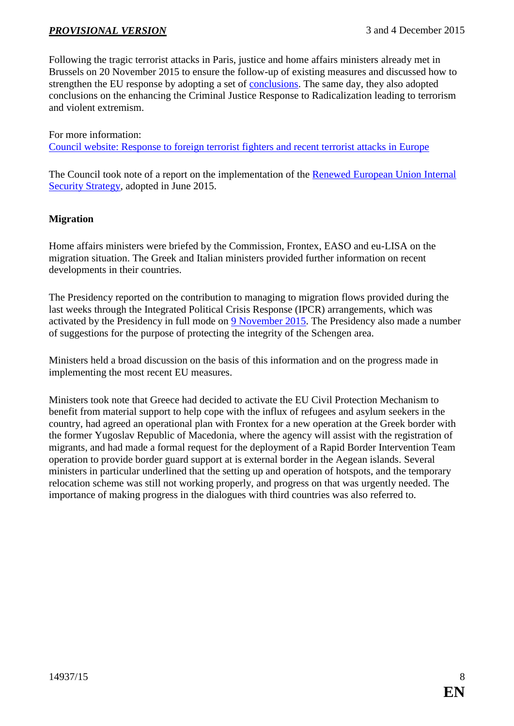Following the tragic terrorist attacks in Paris, justice and home affairs ministers already met in Brussels on 20 November 2015 to ensure the follow-up of existing measures and discussed how to strengthen the EU response by adopting a set of [conclusions.](http://www.consilium.europa.eu/en/press/press-releases/2015/11/20-jha-conclusions-counter-terrorism/) The same day, they also adopted conclusions on the enhancing the Criminal Justice Response to Radicalization leading to terrorism and violent extremism.

For more information: [Council website: Response to foreign terrorist fighters and recent terrorist attacks in Europe](http://www.consilium.europa.eu/en/policies/fight-against-terrorism/foreign-fighters/)

The Council took note of a report on the implementation of the Renewed European Union Internal [Security Strategy,](http://data.consilium.europa.eu/doc/document/ST-9798-2015-INIT/en/pdf) adopted in June 2015.

#### <span id="page-7-0"></span>**Migration**

Home affairs ministers were briefed by the Commission, Frontex, EASO and eu-LISA on the migration situation. The Greek and Italian ministers provided further information on recent developments in their countries.

The Presidency reported on the contribution to managing to migration flows provided during the last weeks through the Integrated Political Crisis Response (IPCR) arrangements, which was activated by the Presidency in full mode on [9 November 2015.](http://www.consilium.europa.eu/en/meetings/jha/2015/11/09/) The Presidency also made a number of suggestions for the purpose of protecting the integrity of the Schengen area.

Ministers held a broad discussion on the basis of this information and on the progress made in implementing the most recent EU measures.

Ministers took note that Greece had decided to activate the EU Civil Protection Mechanism to benefit from material support to help cope with the influx of refugees and asylum seekers in the country, had agreed an operational plan with Frontex for a new operation at the Greek border with the former Yugoslav Republic of Macedonia, where the agency will assist with the registration of migrants, and had made a formal request for the deployment of a Rapid Border Intervention Team operation to provide border guard support at is external border in the Aegean islands. Several ministers in particular underlined that the setting up and operation of hotspots, and the temporary relocation scheme was still not working properly, and progress on that was urgently needed. The importance of making progress in the dialogues with third countries was also referred to.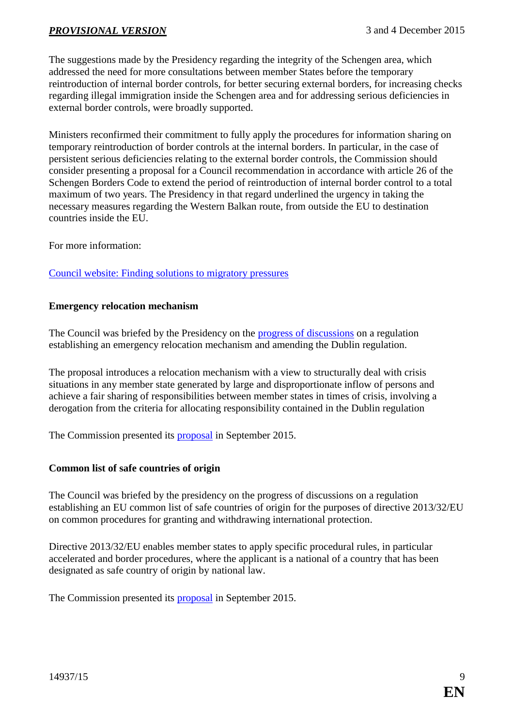The suggestions made by the Presidency regarding the integrity of the Schengen area, which addressed the need for more consultations between member States before the temporary reintroduction of internal border controls, for better securing external borders, for increasing checks regarding illegal immigration inside the Schengen area and for addressing serious deficiencies in external border controls, were broadly supported.

Ministers reconfirmed their commitment to fully apply the procedures for information sharing on temporary reintroduction of border controls at the internal borders. In particular, in the case of persistent serious deficiencies relating to the external border controls, the Commission should consider presenting a proposal for a Council recommendation in accordance with article 26 of the Schengen Borders Code to extend the period of reintroduction of internal border control to a total maximum of two years. The Presidency in that regard underlined the urgency in taking the necessary measures regarding the Western Balkan route, from outside the EU to destination countries inside the EU.

For more information:

[Council website: Finding solutions to migratory pressures](http://www.consilium.europa.eu/en/policies/migratory-pressures/)

#### <span id="page-8-0"></span>**Emergency relocation mechanism**

The Council was briefed by the Presidency on the [progress of discussions](http://data.consilium.europa.eu/doc/document/ST-14513-2015-INIT/en/pdf) on a regulation establishing an emergency relocation mechanism and amending the Dublin regulation.

The proposal introduces a relocation mechanism with a view to structurally deal with crisis situations in any member state generated by large and disproportionate inflow of persons and achieve a fair sharing of responsibilities between member states in times of crisis, involving a derogation from the criteria for allocating responsibility contained in the Dublin regulation

The Commission presented its **proposal** in September 2015.

#### <span id="page-8-1"></span>**Common list of safe countries of origin**

The Council was briefed by the presidency on the progress of discussions on a regulation establishing an EU common list of safe countries of origin for the purposes of directive 2013/32/EU on common procedures for granting and withdrawing international protection.

Directive 2013/32/EU enables member states to apply specific procedural rules, in particular accelerated and border procedures, where the applicant is a national of a country that has been designated as safe country of origin by national law.

The Commission presented its [proposal](http://www.consilium.europa.eu/register/en/content/out/?typ=SET&i=ADV&RESULTSET=1&DOC_ID=11845%2F15&DOS_INTERINST=&DOC_TITLE=&CONTENTS=&DOC_SUBJECT=&DOC_SUBTYPE=&DOC_DATE=&document_date_single_comparator=&document_date_single_date=&document_date_from_date=&document_date_to_date=&MEET_DATE=&meeting_date_single_comparator=&meeting_date_single_date=&meeting_date_from_date=&meeting_date_to_date=&DOC_LANCD=EN&ROWSPP=25&NRROWS=500&ORDERBY=DOC_DATE+DESC) in September 2015.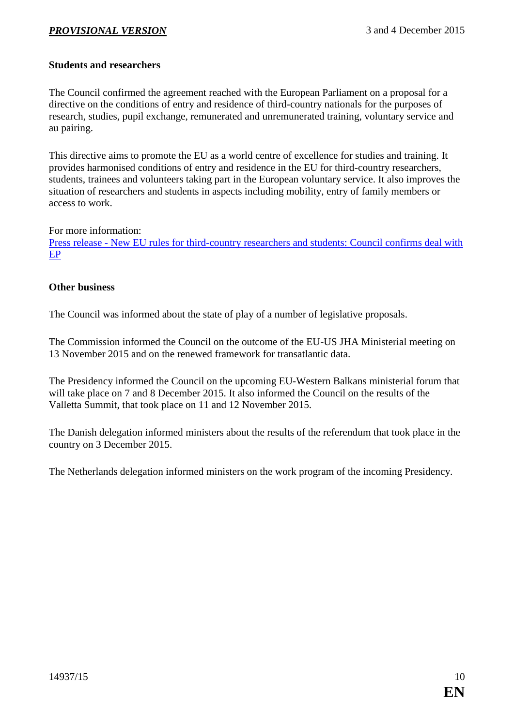### <span id="page-9-0"></span>**Students and researchers**

The Council confirmed the agreement reached with the European Parliament on a proposal for a directive on the conditions of entry and residence of third-country nationals for the purposes of research, studies, pupil exchange, remunerated and unremunerated training, voluntary service and au pairing.

This directive aims to promote the EU as a world centre of excellence for studies and training. It provides harmonised conditions of entry and residence in the EU for third-country researchers, students, trainees and volunteers taking part in the European voluntary service. It also improves the situation of researchers and students in aspects including mobility, entry of family members or access to work.

For more information:

Press release - [New EU rules for third-country researchers and students: Council confirms deal with](http://www.consilium.europa.eu/en/press/press-releases/2015/11/26-third-country-students-researchers/)  [EP](http://www.consilium.europa.eu/en/press/press-releases/2015/11/26-third-country-students-researchers/)

#### <span id="page-9-1"></span>**Other business**

The Council was informed about the state of play of a number of legislative proposals.

The Commission informed the Council on the outcome of the EU-US JHA Ministerial meeting on 13 November 2015 and on the renewed framework for transatlantic data.

The Presidency informed the Council on the upcoming EU-Western Balkans ministerial forum that will take place on 7 and 8 December 2015. It also informed the Council on the results of the Valletta Summit, that took place on 11 and 12 November 2015.

The Danish delegation informed ministers about the results of the referendum that took place in the country on 3 December 2015.

The Netherlands delegation informed ministers on the work program of the incoming Presidency.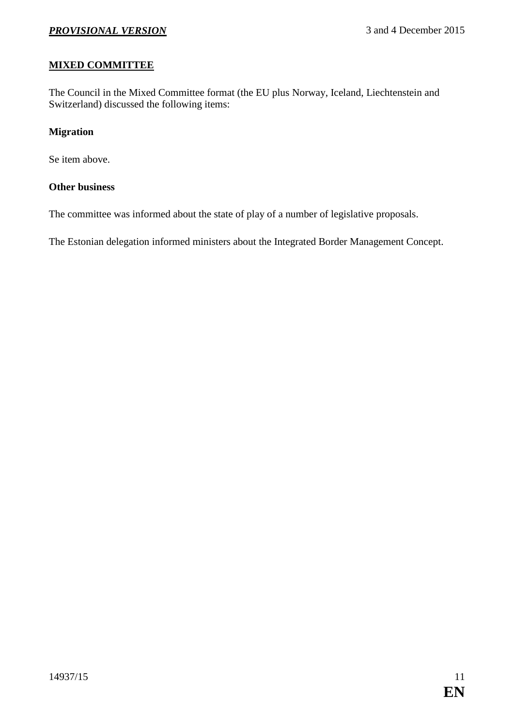### <span id="page-10-0"></span>**MIXED COMMITTEE**

The Council in the Mixed Committee format (the EU plus Norway, Iceland, Liechtenstein and Switzerland) discussed the following items:

### **Migration**

Se item above.

### **Other business**

The committee was informed about the state of play of a number of legislative proposals.

The Estonian delegation informed ministers about the Integrated Border Management Concept.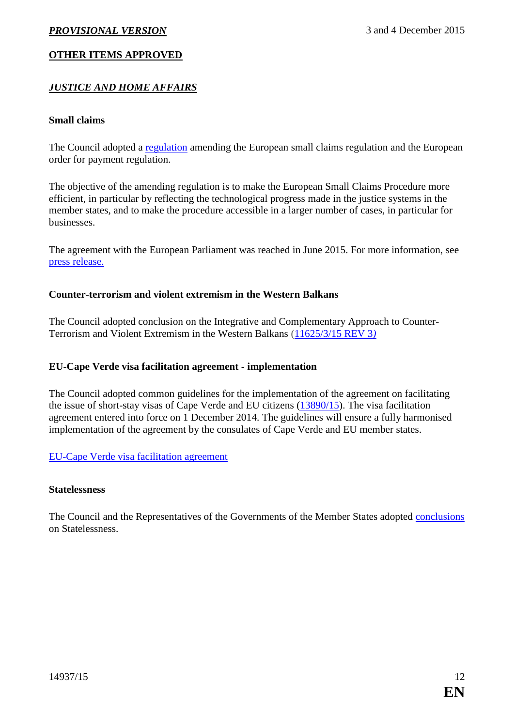### **OTHER ITEMS APPROVED**

### *JUSTICE AND HOME AFFAIRS*

#### <span id="page-11-0"></span>**Small claims**

The Council adopted a [regulation](http://data.consilium.europa.eu/doc/document/PE-40-2015-INIT/en/pdf) amending the European small claims regulation and the European order for payment regulation.

The objective of the amending regulation is to make the European Small Claims Procedure more efficient, in particular by reflecting the technological progress made in the justice systems in the member states, and to make the procedure accessible in a larger number of cases, in particular for businesses.

The agreement with the European Parliament was reached in June 2015. For more information, see [press release.](http://www.consilium.europa.eu/en/press/press-releases/2015/06/29-small-claims-procedure/)

#### <span id="page-11-1"></span>**Counter-terrorism and violent extremism in the Western Balkans**

The Council adopted conclusion on the Integrative and Complementary Approach to Counter-Terrorism and Violent Extremism in the Western Balkans [\(11625/3/15 REV 3](http://www.consilium.europa.eu/register/en/content/out/?&typ=ENTRY&i=ADV&DOC_ID=ST-11625-2015-REV-3)*)*

#### <span id="page-11-2"></span>**EU-Cape Verde visa facilitation agreement - implementation**

The Council adopted common guidelines for the implementation of the agreement on facilitating the issue of short-stay visas of Cape Verde and EU citizens [\(13890/15\)](http://www.consilium.europa.eu/register/en/content/out/?&typ=ENTRY&i=ADV&DOC_ID=ST-13890-2015-INIT). The visa facilitation agreement entered into force on 1 December 2014. The guidelines will ensure a fully harmonised implementation of the agreement by the consulates of Cape Verde and EU member states.

[EU-Cape Verde visa facilitation agreement](http://eur-lex.europa.eu/legal-content/EN/TXT/PDF/?uri=CELEX:22013A1024(01)&from=EN)

#### <span id="page-11-3"></span>**Statelessness**

The Council and the Representatives of the Governments of the Member States adopted [conclusions](http://www.consilium.europa.eu/en/press/press-releases/2015/12/04-council-adopts-conclusions-on-statelessness/) on Statelessness.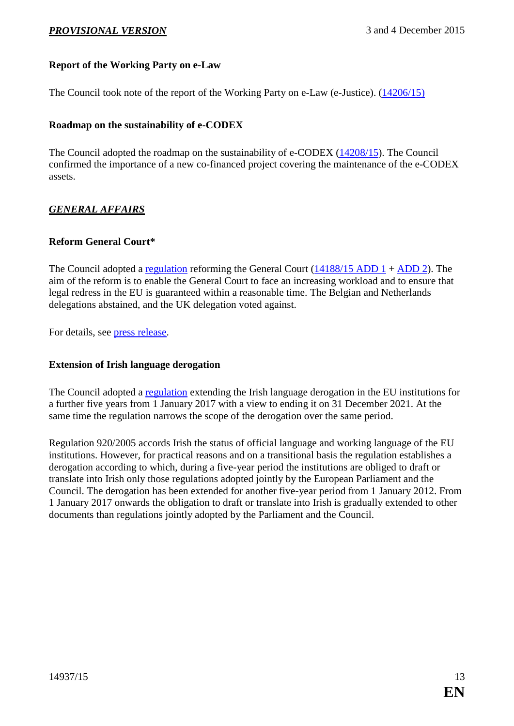### <span id="page-12-0"></span>**Report of the Working Party on e-Law**

The Council took note of the report of the Working Party on e-Law (e-Justice). [\(14206/15\)](http://www.consilium.europa.eu/register/en/content/out/?&typ=ENTRY&i=ADV&DOC_ID=ST-14206-2015-INIT)

#### <span id="page-12-1"></span>**Roadmap on the sustainability of e-CODEX**

The Council adopted the roadmap on the sustainability of e-CODEX [\(14208/15\)](http://www.consilium.europa.eu/register/en/content/out/?&typ=ENTRY&i=ADV&DOC_ID=ST-14208-2015-INIT). The Council confirmed the importance of a new co-financed project covering the maintenance of the e-CODEX assets.

### *GENERAL AFFAIRS*

#### <span id="page-12-2"></span>**Reform General Court\***

The Council adopted a [regulation](http://data.consilium.europa.eu/doc/document/PE-62-2015-INIT/en/pdf) reforming the General Court [\(14188/15 ADD 1](http://data.consilium.europa.eu/doc/document/ST-14188-2015-ADD-1/en/pdf) + [ADD 2\)](http://data.consilium.europa.eu/doc/document/ST-14188-2015-ADD-2/en/pdf). The aim of the reform is to enable the General Court to face an increasing workload and to ensure that legal redress in the EU is guaranteed within a reasonable time. The Belgian and Netherlands delegations abstained, and the UK delegation voted against.

For details, see [press release.](http://www.consilium.europa.eu/en/press/press-releases/2015/12/03-eu-court-of-justice-general-court-reform/)

#### <span id="page-12-3"></span>**Extension of Irish language derogation**

The Council adopted a [regulation](http://data.consilium.europa.eu/doc/document/ST-14402-2015-INIT/en/pdf) extending the Irish language derogation in the EU institutions for a further five years from 1 January 2017 with a view to ending it on 31 December 2021. At the same time the regulation narrows the scope of the derogation over the same period.

Regulation 920/2005 accords Irish the status of official language and working language of the EU institutions. However, for practical reasons and on a transitional basis the regulation establishes a derogation according to which, during a five-year period the institutions are obliged to draft or translate into Irish only those regulations adopted jointly by the European Parliament and the Council. The derogation has been extended for another five-year period from 1 January 2012. From 1 January 2017 onwards the obligation to draft or translate into Irish is gradually extended to other documents than regulations jointly adopted by the Parliament and the Council.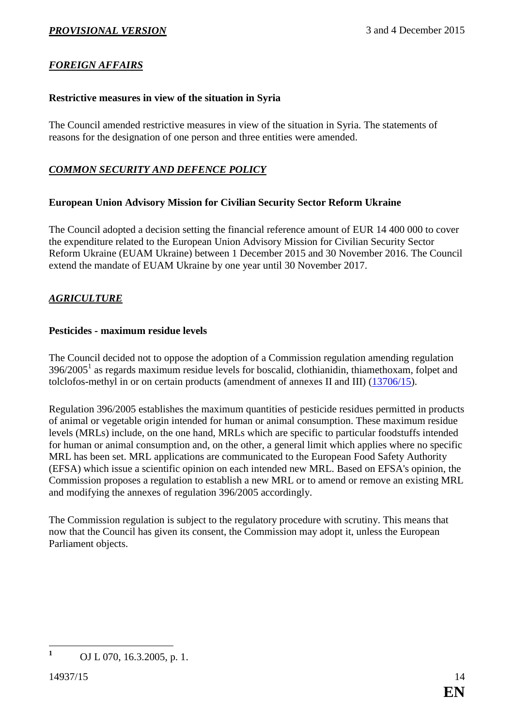### *FOREIGN AFFAIRS*

### <span id="page-13-0"></span>**Restrictive measures in view of the situation in Syria**

The Council amended restrictive measures in view of the situation in Syria. The statements of reasons for the designation of one person and three entities were amended.

### *COMMON SECURITY AND DEFENCE POLICY*

### <span id="page-13-1"></span>**European Union Advisory Mission for Civilian Security Sector Reform Ukraine**

The Council adopted a decision setting the financial reference amount of EUR 14 400 000 to cover the expenditure related to the European Union Advisory Mission for Civilian Security Sector Reform Ukraine (EUAM Ukraine) between 1 December 2015 and 30 November 2016. The Council extend the mandate of EUAM Ukraine by one year until 30 November 2017.

### *AGRICULTURE*

### <span id="page-13-2"></span>**Pesticides - maximum residue levels**

The Council decided not to oppose the adoption of a Commission regulation amending regulation 396/2005<sup>1</sup> as regards maximum residue levels for boscalid, clothianidin, thiamethoxam, folpet and tolclofos-methyl in or on certain products (amendment of annexes II and III) [\(13706/15\)](http://data.consilium.europa.eu/doc/document/ST-13706-2015-INIT/en/pdf).

Regulation 396/2005 establishes the maximum quantities of pesticide residues permitted in products of animal or vegetable origin intended for human or animal consumption. These maximum residue levels (MRLs) include, on the one hand, MRLs which are specific to particular foodstuffs intended for human or animal consumption and, on the other, a general limit which applies where no specific MRL has been set. MRL applications are communicated to the European Food Safety Authority (EFSA) which issue a scientific opinion on each intended new MRL. Based on EFSA's opinion, the Commission proposes a regulation to establish a new MRL or to amend or remove an existing MRL and modifying the annexes of regulation 396/2005 accordingly.

The Commission regulation is subject to the regulatory procedure with scrutiny. This means that now that the Council has given its consent, the Commission may adopt it, unless the European Parliament objects.

<sup>1</sup> **<sup>1</sup>** OJ L 070, 16.3.2005, p. 1.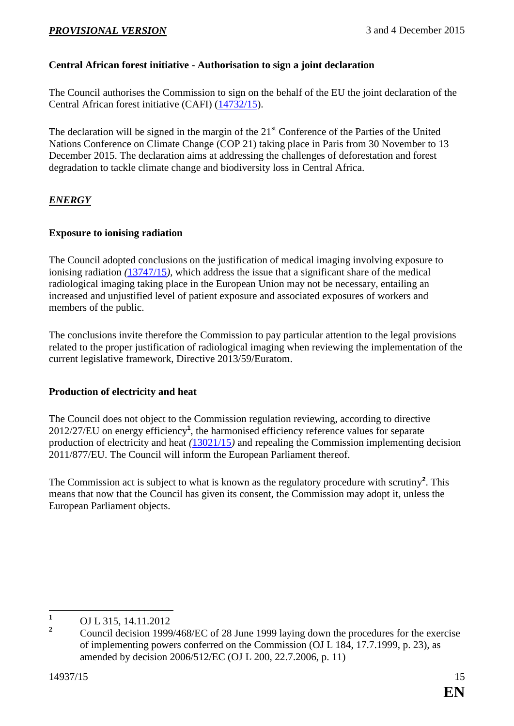## <span id="page-14-0"></span>**Central African forest initiative - Authorisation to sign a joint declaration**

The Council authorises the Commission to sign on the behalf of the EU the joint declaration of the Central African forest initiative (CAFI) [\(14732/15\)](http://data.consilium.europa.eu/doc/document/ST-14732-2015-INIT/en/pdf).

The declaration will be signed in the margin of the  $21<sup>st</sup>$  Conference of the Parties of the United Nations Conference on Climate Change (COP 21) taking place in Paris from 30 November to 13 December 2015. The declaration aims at addressing the challenges of deforestation and forest degradation to tackle climate change and biodiversity loss in Central Africa.

### *ENERGY*

### <span id="page-14-1"></span>**Exposure to ionising radiation**

The Council adopted conclusions on the justification of medical imaging involving exposure to ionising radiation *(*[13747/15](http://data.consilium.europa.eu/doc/document/ST-13747-2015-INIT/en/pdf)*),* which address the issue that a significant share of the medical radiological imaging taking place in the European Union may not be necessary, entailing an increased and unjustified level of patient exposure and associated exposures of workers and members of the public.

The conclusions invite therefore the Commission to pay particular attention to the legal provisions related to the proper justification of radiological imaging when reviewing the implementation of the current legislative framework, Directive 2013/59/Euratom.

### <span id="page-14-2"></span>**Production of electricity and heat**

The Council does not object to the Commission regulation reviewing, according to directive 2012/27/EU on energy efficiency**<sup>1</sup>** , the harmonised efficiency reference values for separate production of electricity and heat *(*[13021/15](http://data.consilium.europa.eu/doc/document/ST-13021-2015-INIT/en/pdf)*)* and repealing the Commission implementing decision 2011/877/EU. The Council will inform the European Parliament thereof.

The Commission act is subject to what is known as the regulatory procedure with scrutiny**<sup>2</sup>** . This means that now that the Council has given its consent, the Commission may adopt it, unless the European Parliament objects.

 $\mathbf{1}$  $\frac{1}{2}$  OJ L 315, 14.11.2012

**<sup>2</sup>** Council decision 1999/468/EC of 28 June 1999 laying down the procedures for the exercise of implementing powers conferred on the Commission (OJ L 184, 17.7.1999, p. 23), as amended by decision 2006/512/EC (OJ L 200, 22.7.2006, p. 11)